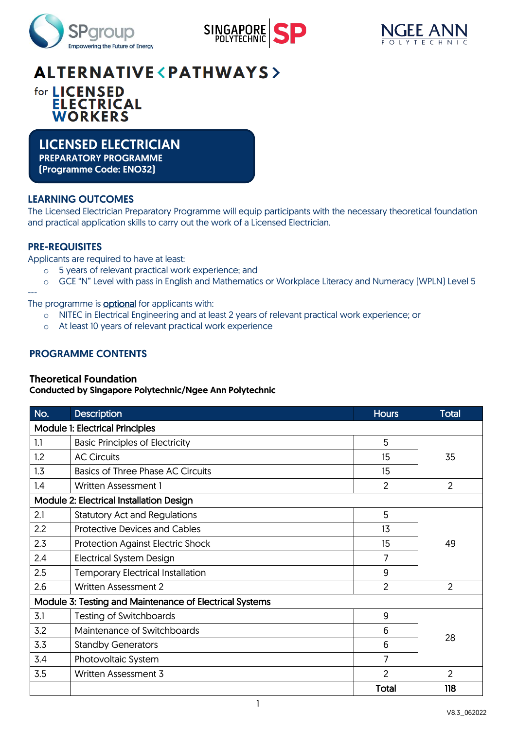





# **ALTERNATIVE <PATHWAYS>** for LICENSED **ELECTRICAL WORKERS**

LICENSED ELECTRICIAN

PREPARATORY PROGRAMME (Programme Code: ENO32)

## LEARNING OUTCOMES

The Licensed Electrician Preparatory Programme will equip participants with the necessary theoretical foundation and practical application skills to carry out the work of a Licensed Electrician.

## PRE-REQUISITES

Applicants are required to have at least:

- o 5 years of relevant practical work experience; and
- o GCE "N" Level with pass in English and Mathematics or Workplace Literacy and Numeracy (WPLN) Level 5

---

The programme is **optional** for applicants with:

- o NITEC in Electrical Engineering and at least 2 years of relevant practical work experience; or
- o At least 10 years of relevant practical work experience

## PROGRAMME CONTENTS

#### Theoretical Foundation

#### Conducted by Singapore Polytechnic/Ngee Ann Polytechnic

| No.                                                     | <b>Description</b>                       | <b>Hours</b>   | <b>Total</b>   |  |  |
|---------------------------------------------------------|------------------------------------------|----------------|----------------|--|--|
|                                                         | <b>Module 1: Electrical Principles</b>   |                |                |  |  |
| 1.1                                                     | <b>Basic Principles of Electricity</b>   | 5              |                |  |  |
| 1.2                                                     | <b>AC Circuits</b>                       | 15             | 35             |  |  |
| 1.3                                                     | <b>Basics of Three Phase AC Circuits</b> | 15             |                |  |  |
| 1.4                                                     | <b>Written Assessment 1</b>              | $\overline{2}$ | $\overline{2}$ |  |  |
| Module 2: Electrical Installation Design                |                                          |                |                |  |  |
| 2.1                                                     | <b>Statutory Act and Regulations</b>     | 5              |                |  |  |
| 2.2                                                     | <b>Protective Devices and Cables</b>     | 13             |                |  |  |
| 2.3                                                     | Protection Against Electric Shock        | 15             | 49             |  |  |
| 2.4                                                     | <b>Electrical System Design</b>          | 7              |                |  |  |
| 2.5                                                     | <b>Temporary Electrical Installation</b> | 9              |                |  |  |
| 2.6                                                     | <b>Written Assessment 2</b>              | $\overline{2}$ | $\overline{2}$ |  |  |
| Module 3: Testing and Maintenance of Electrical Systems |                                          |                |                |  |  |
| 3.1                                                     | <b>Testing of Switchboards</b>           | 9              |                |  |  |
| 3.2                                                     | Maintenance of Switchboards              | 6              | 28             |  |  |
| 3.3                                                     | <b>Standby Generators</b>                | 6              |                |  |  |
| 3.4                                                     | Photovoltaic System                      | 7              |                |  |  |
| 3.5                                                     | <b>Written Assessment 3</b>              | $\overline{2}$ | $\overline{2}$ |  |  |
|                                                         |                                          | Total          | 118            |  |  |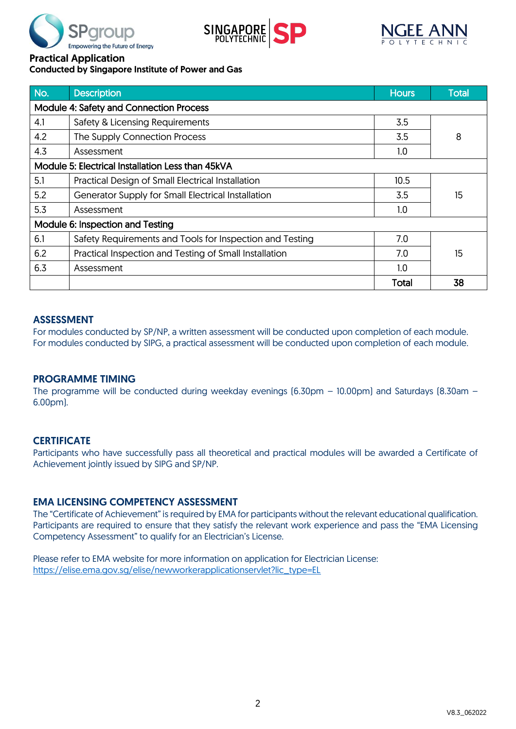





#### Practical Application

Conducted by Singapore Institute of Power and Gas

| No.                              | <b>Description</b>                                       | <b>Hours</b> | <b>Total</b> |  |  |
|----------------------------------|----------------------------------------------------------|--------------|--------------|--|--|
|                                  | Module 4: Safety and Connection Process                  |              |              |  |  |
| 4.1                              | Safety & Licensing Requirements                          | 3.5          |              |  |  |
| 4.2                              | The Supply Connection Process                            | 3.5          | 8            |  |  |
| 4.3                              | Assessment                                               | 1.0          |              |  |  |
|                                  | Module 5: Electrical Installation Less than 45kVA        |              |              |  |  |
| 5.1                              | Practical Design of Small Electrical Installation        | 10.5         |              |  |  |
| 5.2                              | Generator Supply for Small Electrical Installation       | 3.5          | 15           |  |  |
| 5.3                              | Assessment                                               | 1.0          |              |  |  |
| Module 6: Inspection and Testing |                                                          |              |              |  |  |
| 6.1                              | Safety Requirements and Tools for Inspection and Testing | 7.0          |              |  |  |
| 6.2                              | Practical Inspection and Testing of Small Installation   | 7.0          | 15           |  |  |
| 6.3                              | Assessment                                               | 1.0          |              |  |  |
|                                  |                                                          | Total        | 38           |  |  |

#### ASSESSMENT

For modules conducted by SP/NP, a written assessment will be conducted upon completion of each module. For modules conducted by SIPG, a practical assessment will be conducted upon completion of each module.

#### PROGRAMME TIMING

The programme will be conducted during weekday evenings (6.30pm – 10.00pm) and Saturdays (8.30am – 6.00pm).

#### **CERTIFICATE**

Participants who have successfully pass all theoretical and practical modules will be awarded a Certificate of Achievement jointly issued by SIPG and SP/NP.

#### EMA LICENSING COMPETENCY ASSESSMENT

The "Certificate of Achievement" is required by EMA for participants without the relevant educational qualification. Participants are required to ensure that they satisfy the relevant work experience and pass the "EMA Licensing Competency Assessment" to qualify for an Electrician's License.

Please refer to EMA website for more information on application for Electrician License: [https://elise.ema.gov.sg/elise/newworkerapplicationservlet?lic\\_type=EL](https://elise.ema.gov.sg/elise/newworkerapplicationservlet?lic_type=EL)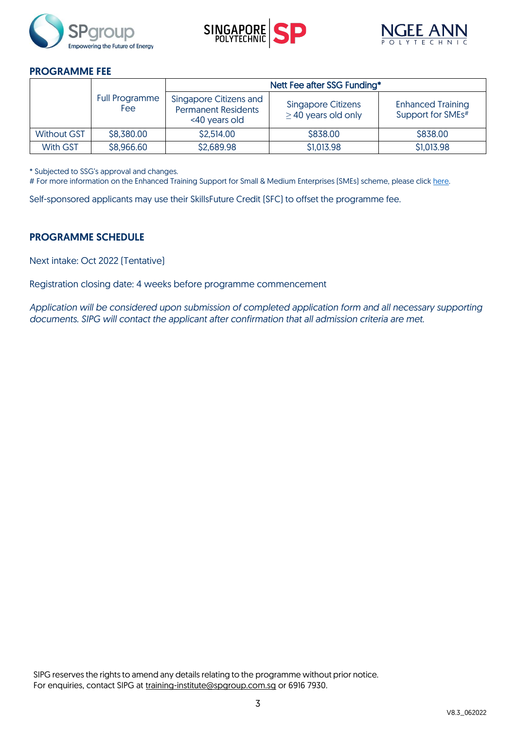





### PROGRAMME FEE

|                    |                              | Nett Fee after SSG Funding*                                                  |                                                       |                                               |  |
|--------------------|------------------------------|------------------------------------------------------------------------------|-------------------------------------------------------|-----------------------------------------------|--|
|                    | <b>Full Programme</b><br>Fee | <b>Singapore Citizens and</b><br><b>Permanent Residents</b><br><40 years old | <b>Singapore Citizens</b><br>$\geq$ 40 years old only | <b>Enhanced Training</b><br>Support for SMEs# |  |
| <b>Without GST</b> | \$8,380.00                   | \$2,514.00                                                                   | \$838.00                                              | \$838.00                                      |  |
| <b>With GST</b>    | \$8,966.60                   | \$2,689.98                                                                   | \$1,013.98                                            | \$1,013.98                                    |  |

\* Subjected to SSG's approval and changes.

# For more information on the Enhanced Training Support for Small & Medium Enterprises (SMEs) scheme, please click [here.](https://www.ssg.gov.sg/programmes-and-initiatives/funding/enhanced-training-support-for-smes1.html)

Self-sponsored applicants may use their SkillsFuture Credit (SFC) to offset the programme fee.

### PROGRAMME SCHEDULE

Next intake: Oct 2022 (Tentative)

Registration closing date: 4 weeks before programme commencement

*Application will be considered upon submission of completed application form and all necessary supporting documents. SIPG will contact the applicant after confirmation that all admission criteria are met.*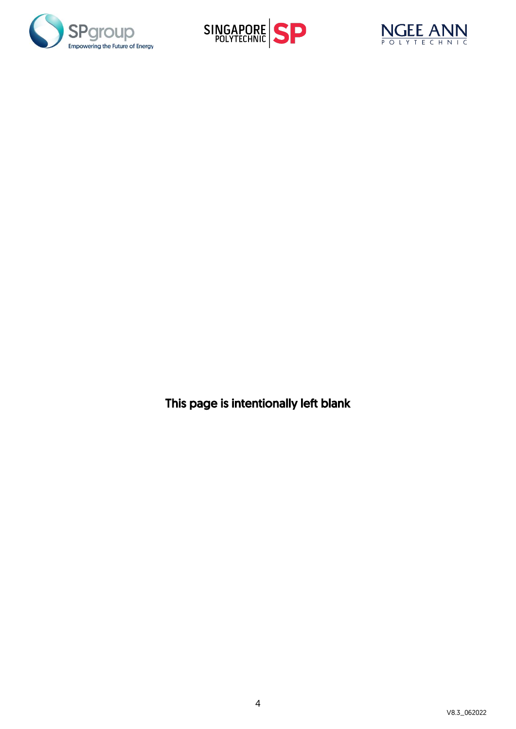





This page is intentionally left blank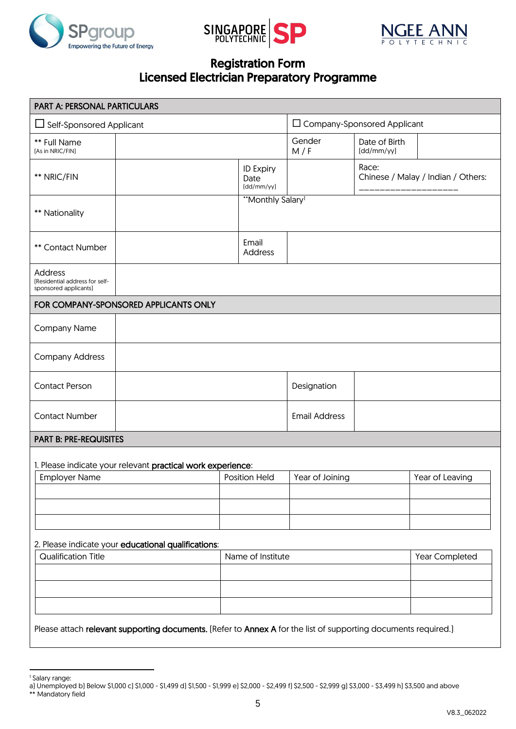





# Registration Form Licensed Electrician Preparatory Programme

| PART A: PERSONAL PARTICULARS                                       |                                                 |                      |                             |                                    |
|--------------------------------------------------------------------|-------------------------------------------------|----------------------|-----------------------------|------------------------------------|
| □ Self-Sponsored Applicant                                         | $\Box$ Company-Sponsored Applicant              |                      |                             |                                    |
| ** Full Name<br>[As in NRIC/FIN]                                   |                                                 | Gender<br>M/F        | Date of Birth<br>(dd/mm/yy] |                                    |
| ** NRIC/FIN                                                        | <b>ID Expiry</b><br>Date<br>$\text{[dd/mm/yy]}$ |                      | Race:                       | Chinese / Malay / Indian / Others: |
| ** Nationality                                                     | **Monthly Salary <sup>1</sup>                   |                      |                             |                                    |
| ** Contact Number                                                  | Email<br>Address                                |                      |                             |                                    |
| Address<br>[Residential address for self-<br>sponsored applicants) |                                                 |                      |                             |                                    |
| FOR COMPANY-SPONSORED APPLICANTS ONLY                              |                                                 |                      |                             |                                    |
| Company Name                                                       |                                                 |                      |                             |                                    |
| <b>Company Address</b>                                             |                                                 |                      |                             |                                    |
| <b>Contact Person</b>                                              |                                                 | Designation          |                             |                                    |
| <b>Contact Number</b>                                              |                                                 | <b>Email Address</b> |                             |                                    |
| <b>PART B: PRE-REQUISITES</b>                                      |                                                 |                      |                             |                                    |
| 1. Please indicate your relevant practical work experience:        |                                                 |                      |                             |                                    |
| <b>Employer Name</b>                                               | Position Held   Year of Joining                 |                      |                             | Year of Leaving                    |
|                                                                    |                                                 |                      |                             |                                    |
|                                                                    |                                                 |                      |                             |                                    |
|                                                                    |                                                 |                      |                             |                                    |
| 2. Please indicate your educational qualifications:                |                                                 |                      |                             |                                    |
| Qualification Title                                                | Name of Institute                               |                      |                             | Year Completed                     |
|                                                                    |                                                 |                      |                             |                                    |
|                                                                    |                                                 |                      |                             |                                    |
|                                                                    |                                                 |                      |                             |                                    |

<sup>&</sup>lt;sup>1</sup> Salary range:

a) Unemployed b) Below \$1,000 c) \$1,000 - \$1,499 d) \$1,500 - \$1,999 e) \$2,000 - \$2,499 f) \$2,500 - \$2,999 g) \$3,000 - \$3,499 h) \$3,500 and above

<sup>\*\*</sup> Mandatory field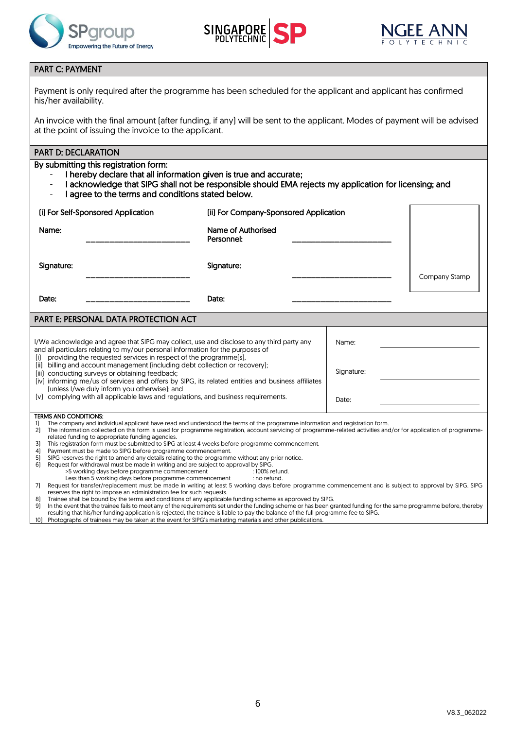





#### PART C: PAYMENT

Payment is only required after the programme has been scheduled for the applicant and applicant has confirmed his/her availability.

An invoice with the final amount (after funding, if any) will be sent to the applicant. Modes of payment will be advised at the point of issuing the invoice to the applicant.

## PART D: DECLARATION By submitting this registration form:

- I hereby declare that all information given is true and accurate;
- I acknowledge that SIPG shall not be responsible should EMA rejects my application for licensing; and
- I agree to the terms and conditions stated below.

| (i) For Self-Sponsored Application                                                                                                                                                                                                                                                                                                                                                                                                                                                                                                                                                                                                                                                                                                                                                                                                                                                                                                                                                                                                                                                                                                                                                                                                                                                                                                                                                                                                        |                                  | (ii) For Company-Sponsored Application |               |
|-------------------------------------------------------------------------------------------------------------------------------------------------------------------------------------------------------------------------------------------------------------------------------------------------------------------------------------------------------------------------------------------------------------------------------------------------------------------------------------------------------------------------------------------------------------------------------------------------------------------------------------------------------------------------------------------------------------------------------------------------------------------------------------------------------------------------------------------------------------------------------------------------------------------------------------------------------------------------------------------------------------------------------------------------------------------------------------------------------------------------------------------------------------------------------------------------------------------------------------------------------------------------------------------------------------------------------------------------------------------------------------------------------------------------------------------|----------------------------------|----------------------------------------|---------------|
| Name:                                                                                                                                                                                                                                                                                                                                                                                                                                                                                                                                                                                                                                                                                                                                                                                                                                                                                                                                                                                                                                                                                                                                                                                                                                                                                                                                                                                                                                     | Name of Authorised<br>Personnel: |                                        |               |
| Signature:                                                                                                                                                                                                                                                                                                                                                                                                                                                                                                                                                                                                                                                                                                                                                                                                                                                                                                                                                                                                                                                                                                                                                                                                                                                                                                                                                                                                                                | Signature:                       |                                        | Company Stamp |
| Date:                                                                                                                                                                                                                                                                                                                                                                                                                                                                                                                                                                                                                                                                                                                                                                                                                                                                                                                                                                                                                                                                                                                                                                                                                                                                                                                                                                                                                                     | Date:                            |                                        |               |
| <b>PART E: PERSONAL DATA PROTECTION ACT</b>                                                                                                                                                                                                                                                                                                                                                                                                                                                                                                                                                                                                                                                                                                                                                                                                                                                                                                                                                                                                                                                                                                                                                                                                                                                                                                                                                                                               |                                  |                                        |               |
| I/We acknowledge and agree that SIPG may collect, use and disclose to any third party any<br>Name:<br>and all particulars relating to my/our personal information for the purposes of<br>(i) providing the requested services in respect of the programme(s),<br>[ii] billing and account management (including debt collection or recovery);<br>Signature:<br>[iii] conducting surveys or obtaining feedback;<br>(iv) informing me/us of services and offers by SIPG, its related entities and business affiliates<br>(unless I/we duly inform you otherwise); and<br>(v) complying with all applicable laws and regulations, and business requirements.<br>Date:                                                                                                                                                                                                                                                                                                                                                                                                                                                                                                                                                                                                                                                                                                                                                                        |                                  |                                        |               |
| <b>TERMS AND CONDITIONS:</b><br>The company and individual applicant have read and understood the terms of the programme information and registration form.<br>1<br>The information collected on this form is used for programme registration, account servicing of programme-related activities and/or for application of programme-<br>2)<br>related funding to appropriate funding agencies.<br>This registration form must be submitted to SIPG at least 4 weeks before programme commencement.<br>3)<br>Payment must be made to SIPG before programme commencement.<br>41<br>SIPG reserves the right to amend any details relating to the programme without any prior notice.<br>5)<br>6)<br>Request for withdrawal must be made in writing and are subject to approval by SIPG.<br>>5 working days before programme commencement<br>Less than 5 working days before programme commencement<br>Request for transfer/replacement must be made in writing at least 5 working days before programme commencement and is subject to approval by SIPG. SIPG<br>71<br>reserves the right to impose an administration fee for such requests.<br>Trainee shall be bound by the terms and conditions of any applicable funding scheme as approved by SIPG.<br>81<br>In the event that the trainee fails to meet any of the requirements set under the funding scheme or has been granted funding for the same programme before, thereby<br>91 | : 100% refund.<br>: no refund.   |                                        |               |

resulting that his/her funding application is rejected, the trainee is liable to pay the balance of the full programme fee to SIPG.

10) Photographs of trainees may be taken at the event for SIPG's marketing materials and other publication